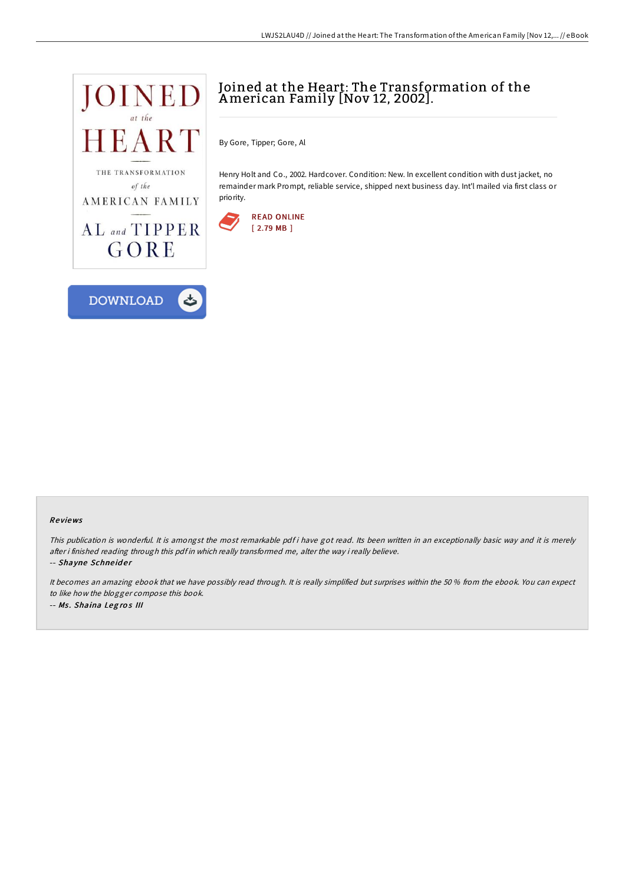

# Joined at the Heart: The Transformation of the American Family [Nov 12, 2002].

By Gore, Tipper; Gore, Al

Henry Holt and Co., 2002. Hardcover. Condition: New. In excellent condition with dust jacket, no remainder mark Prompt, reliable service, shipped next business day. Int'l mailed via first class or priority.



### Re views

This publication is wonderful. It is amongst the most remarkable pdf i have got read. Its been written in an exceptionally basic way and it is merely after i finished reading through this pdf in which really transformed me, alter the way i really believe.

-- Shayne Schneider

It becomes an amazing ebook that we have possibly read through. It is really simplified but surprises within the 50 % from the ebook. You can expect to like how the blogger compose this book.

-- Ms. Shaina Legros III